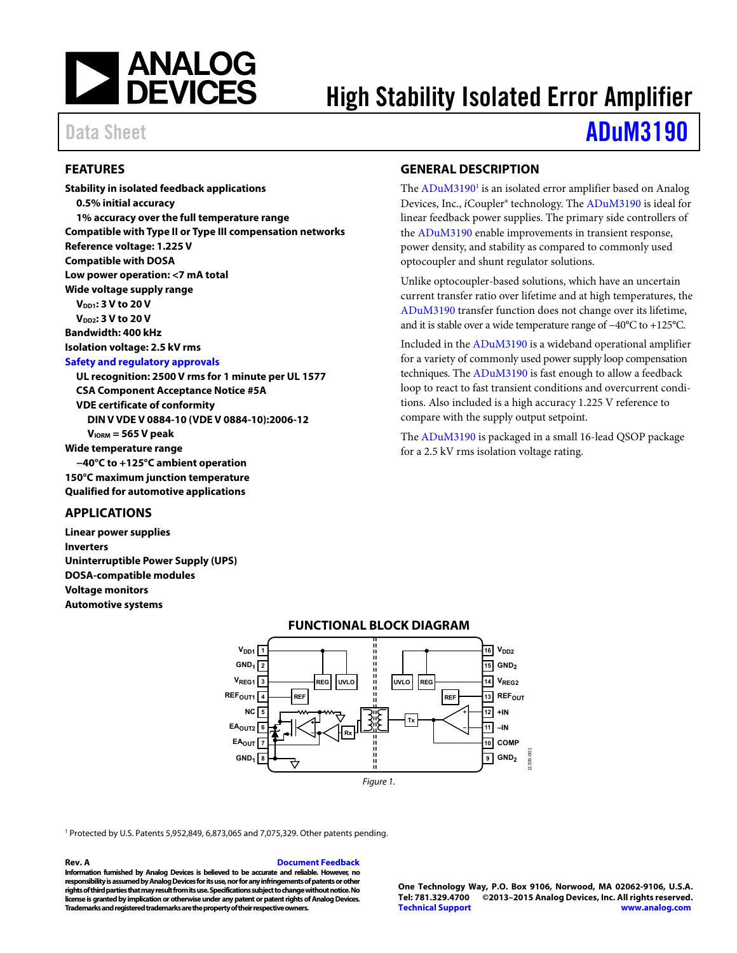

# High Stability Isolated Error Amplifier

# Data Sheet **[ADuM3190](http://www.analog.com/ADuM3190?doc=ADuM3190.pdf)**

### <span id="page-0-0"></span>**FEATURES**

**Stability in isolated feedback applications 0.5% initial accuracy 1% accuracy over the full temperature range Compatible with Type II or Type III compensation networks Reference voltage: 1.225 V Compatible with DOSA Low power operation: <7 mA total Wide voltage supply range V**<sub>DD1</sub>: 3 V to 20 V **V**<sub>DD2</sub>: 3 V to 20 V **Bandwidth: 400 kHz Isolation voltage: 2.5 kV rms [Safety and regulatory approvals](http://www.analog.com/icouplersafety?doc=ADuM3190.pdf) UL recognition: 2500 V rms for 1 minute per UL 1577 CSA Component Acceptance Notice #5A VDE certificate of conformity DIN V VDE V 0884-10 (VDE V 0884-10):2006-12 VIORM = 565 V peak Wide temperature range −40°C to +125°C ambient operation** 

**150°C maximum junction temperature Qualified for automotive applications** 

### <span id="page-0-1"></span>**APPLICATIONS**

<span id="page-0-3"></span>**Linear power supplies Inverters Uninterruptible Power Supply (UPS) DOSA-compatible modules Voltage monitors Automotive systems** 

## <span id="page-0-2"></span>**GENERAL DESCRIPTION**

The ADuM3190<sup>1</sup> is an isolated error amplifier based on Analog Devices, Inc., *i*Coupler® technology. Th[e ADuM3190 i](http://www.analog.com/ADuM3190?doc=ADuM3190.pdf)s ideal for linear feedback power supplies. The primary side controllers of the [ADuM3190 e](http://www.analog.com/ADuM3190?doc=ADuM3190.pdf)nable improvements in transient response, power density, and stability as compared to commonly used optocoupler and shunt regulator solutions.

Unlike optocoupler-based solutions, which have an uncertain current transfer ratio over lifetime and at high temperatures, the [ADuM3190 t](http://www.analog.com/ADuM3190?doc=ADuM3190.pdf)ransfer function does not change over its lifetime, and it is stable over a wide temperature range of −40°C to +125°C.

Included in the [ADuM3190](http://www.analog.com/ADuM3190?doc=ADuM3190.pdf) is a wideband operational amplifier for a variety of commonly used power supply loop compensation techniques. The [ADuM3190 i](http://www.analog.com/ADuM3190?doc=ADuM3190.pdf)s fast enough to allow a feedback loop to react to fast transient conditions and overcurrent conditions. Also included is a high accuracy 1.225 V reference to compare with the supply output setpoint.

The [ADuM3190 i](http://www.analog.com/ADuM3190?doc=ADuM3190.pdf)s packaged in a small 16-lead QSOP package for a 2.5 kV rms isolation voltage rating.



#### **FUNCTIONAL BLOCK DIAGRAM**

<sup>1</sup> Protected by U.S. Patents 5,952,849, 6,873,065 and 7,075,329. Other patents pending.

#### **Rev. A [Document Feedback](https://form.analog.com/Form_Pages/feedback/documentfeedback.aspx?doc=ADuM3190.pdf&product=ADuM3190&rev=A)**

**Information furnished by Analog Devices is believed to be accurate and reliable. However, no responsibility is assumed by Analog Devices for its use, nor for any infringements of patents or other rights of third parties that may result from its use. Specifications subject to change without notice. No license is granted by implication or otherwise under any patent or patent rights of Analog Devices. Trademarks and registered trademarks are the property of their respective owners.**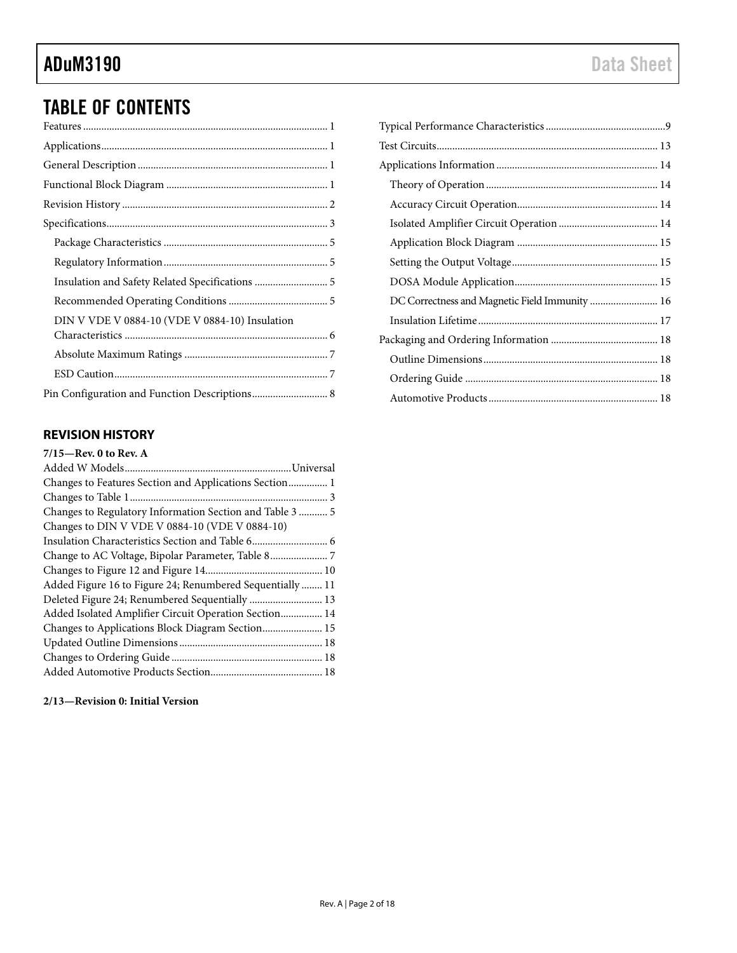# TABLE OF CONTENTS

| DIN V VDE V 0884-10 (VDE V 0884-10) Insulation |  |
|------------------------------------------------|--|
|                                                |  |
|                                                |  |
|                                                |  |

## <span id="page-1-0"></span>**REVISION HISTORY**

### **7/15—Rev. 0 to Rev. A**

| Changes to DIN V VDE V 0884-10 (VDE V 0884-10)            |
|-----------------------------------------------------------|
|                                                           |
|                                                           |
|                                                           |
| Added Figure 16 to Figure 24; Renumbered Sequentially  11 |
|                                                           |
| Added Isolated Amplifier Circuit Operation Section 14     |
| Changes to Applications Block Diagram Section 15          |
|                                                           |
|                                                           |
|                                                           |

### **2/13—Revision 0: Initial Version**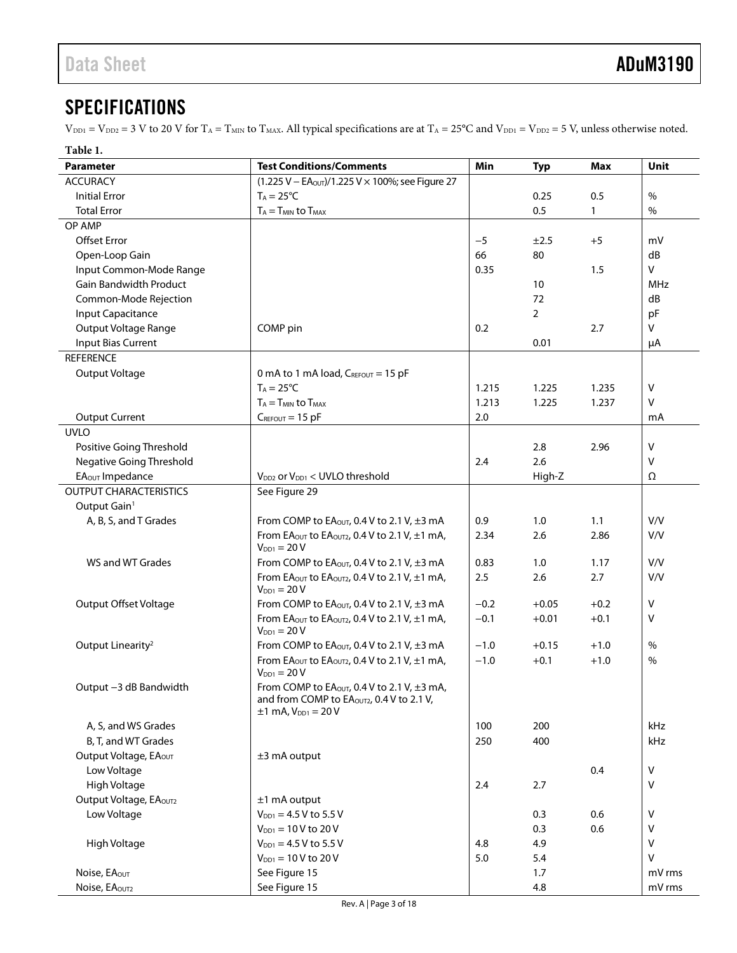# <span id="page-2-0"></span>**SPECIFICATIONS**

 $V_{\text{DD1}} = V_{\text{DD2}} = 3$  V to 20 V for T<sub>A</sub> = T<sub>MIN</sub> to T<sub>MAX</sub>. All typical specifications are at T<sub>A</sub> = 25°C and V<sub>DD1</sub> = V<sub>DD2</sub> = 5 V, unless otherwise noted.

<span id="page-2-1"></span>

| Table 1.                      |                                                                                                                             |            |            |              |            |
|-------------------------------|-----------------------------------------------------------------------------------------------------------------------------|------------|------------|--------------|------------|
| <b>Parameter</b>              | <b>Test Conditions/Comments</b>                                                                                             | <b>Min</b> | <b>Typ</b> | <b>Max</b>   | Unit       |
| <b>ACCURACY</b>               | $(1.225 V - EAOUT)/1.225 V \times 100\%$ ; see Figure 27                                                                    |            |            |              |            |
| <b>Initial Error</b>          | $T_A = 25^{\circ}C$                                                                                                         |            | 0.25       | 0.5          | $\%$       |
| <b>Total Error</b>            | $T_A = T_{MIN}$ to $T_{MAX}$                                                                                                |            | 0.5        | $\mathbf{1}$ | $\%$       |
| OP AMP                        |                                                                                                                             |            |            |              |            |
| <b>Offset Error</b>           |                                                                                                                             | $-5$       | ±2.5       | $+5$         | mV         |
| Open-Loop Gain                |                                                                                                                             | 66         | 80         |              | dB         |
| Input Common-Mode Range       |                                                                                                                             | 0.35       |            | 1.5          | V          |
| <b>Gain Bandwidth Product</b> |                                                                                                                             |            | 10         |              | <b>MHz</b> |
| Common-Mode Rejection         |                                                                                                                             |            | 72         |              | dB         |
| Input Capacitance             |                                                                                                                             |            | 2          |              | pF         |
| Output Voltage Range          | COMP pin                                                                                                                    | 0.2        |            | 2.7          | v          |
| Input Bias Current            |                                                                                                                             |            | 0.01       |              |            |
| <b>REFERENCE</b>              |                                                                                                                             |            |            |              | μA         |
|                               |                                                                                                                             |            |            |              |            |
| Output Voltage                | 0 mA to 1 mA load, $C_{REFOUT}$ = 15 pF                                                                                     |            |            |              |            |
|                               | $T_A = 25^{\circ}C$                                                                                                         | 1.215      | 1.225      | 1.235        | V          |
|                               | $T_A = T_{MIN}$ to $T_{MAX}$                                                                                                | 1.213      | 1.225      | 1.237        | v          |
| <b>Output Current</b>         | $C_{REFOUT} = 15$ pF                                                                                                        | 2.0        |            |              | mA         |
| <b>UVLO</b>                   |                                                                                                                             |            |            |              |            |
| Positive Going Threshold      |                                                                                                                             |            | 2.8        | 2.96         | v          |
| Negative Going Threshold      |                                                                                                                             | 2.4        | 2.6        |              | v          |
| EA <sub>OUT</sub> Impedance   | $V_{DD2}$ or $V_{DD1}$ < UVLO threshold                                                                                     |            | High-Z     |              | Ω          |
| <b>OUTPUT CHARACTERISTICS</b> | See Figure 29                                                                                                               |            |            |              |            |
| Output Gain <sup>1</sup>      |                                                                                                                             |            |            |              |            |
| A, B, S, and T Grades         | From COMP to EA <sub>OUT</sub> , 0.4 V to 2.1 V, $\pm$ 3 mA                                                                 | 0.9        | 1.0        | 1.1          | V/V        |
|                               | From EAOUT to EAOUT2, 0.4 V to 2.1 V, $\pm 1$ mA,<br>$V_{DD1} = 20 V$                                                       | 2.34       | 2.6        | 2.86         | V/V        |
| WS and WT Grades              | From COMP to EA <sub>OUT</sub> , 0.4 V to 2.1 V, $\pm$ 3 mA                                                                 | 0.83       | 1.0        | 1.17         | V/V        |
|                               | From EAOUT to EAOUT2, 0.4 V to 2.1 V, $\pm 1$ mA,<br>$V_{DD1} = 20 V$                                                       | 2.5        | 2.6        | 2.7          | V/V        |
| <b>Output Offset Voltage</b>  | From COMP to EA <sub>OUT</sub> , 0.4 V to 2.1 V, $\pm$ 3 mA                                                                 | $-0.2$     | $+0.05$    | $+0.2$       | V          |
|                               | From EA <sub>OUT</sub> to EA <sub>OUT2</sub> , 0.4 V to 2.1 V, $\pm$ 1 mA,<br>$V_{DD1} = 20 V$                              | $-0.1$     | $+0.01$    | $+0.1$       | V          |
| Output Linearity <sup>2</sup> | From COMP to EAOUT, 0.4 V to 2.1 V, $\pm$ 3 mA                                                                              | $-1.0$     | $+0.15$    | $+1.0$       | %          |
|                               | From EA <sub>OUT</sub> to EA <sub>OUT2</sub> , 0.4 V to 2.1 V, $\pm 1$ mA,<br>$V_{DD1} = 20 V$                              | $-1.0$     | $+0.1$     | $+1.0$       | %          |
| Output -3 dB Bandwidth        | From COMP to $EAOUT$ , 0.4 V to 2.1 V, $\pm 3$ mA,<br>and from COMP to EAOUT2, 0.4 V to 2.1 V,<br>$±1$ mA, $V_{DD1} = 20$ V |            |            |              |            |
| A, S, and WS Grades           |                                                                                                                             | 100        | 200        |              | kHz        |
| B, T, and WT Grades           |                                                                                                                             | 250        | 400        |              | kHz        |
| Output Voltage, EAOUT         | ±3 mA output                                                                                                                |            |            |              |            |
| Low Voltage                   |                                                                                                                             |            |            | 0.4          | v          |
| High Voltage                  |                                                                                                                             | 2.4        | 2.7        |              | v          |
| Output Voltage, EAOUT2        | ±1 mA output                                                                                                                |            |            |              |            |
| Low Voltage                   | $V_{DD1} = 4.5 V$ to 5.5 V                                                                                                  |            | 0.3        | 0.6          | v          |
|                               | $V_{DD1} = 10 V$ to 20 V                                                                                                    |            | 0.3        | 0.6          | V          |
| High Voltage                  | $V_{DD1} = 4.5 V$ to 5.5 V                                                                                                  | 4.8        | 4.9        |              | V          |
|                               | $V_{DD1} = 10 V$ to 20 V                                                                                                    | 5.0        | $5.4$      |              | V          |
| Noise, EAOUT                  | See Figure 15                                                                                                               |            | 1.7        |              | mV rms     |
| Noise, EAOUT2                 | See Figure 15                                                                                                               |            | 4.8        |              | mV rms     |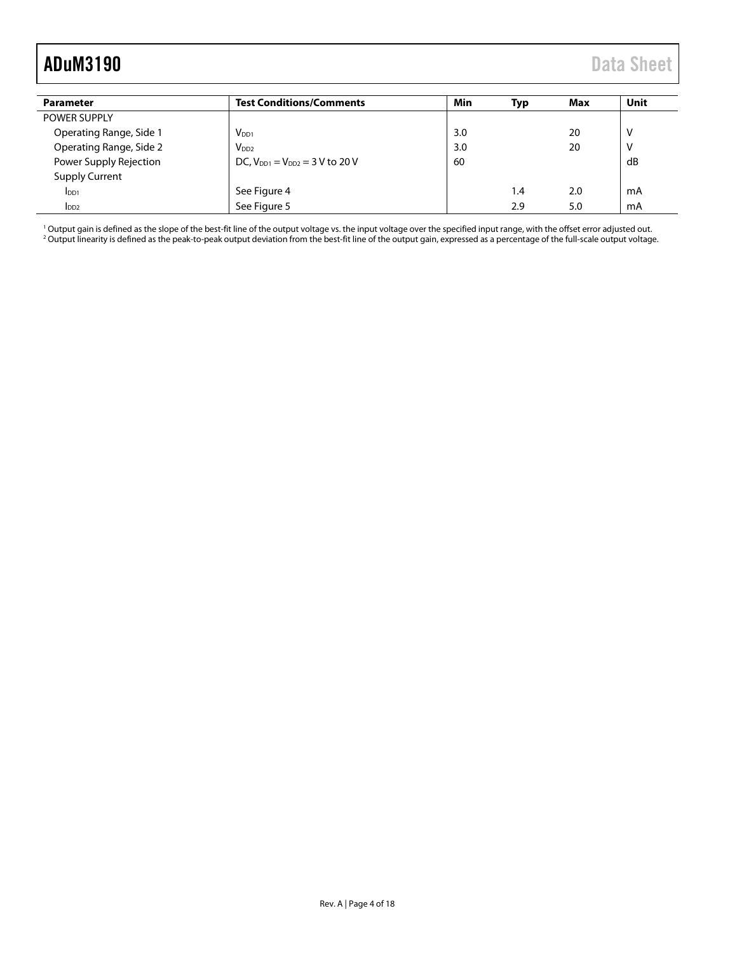<span id="page-3-0"></span>

| Parameter               | <b>Test Conditions/Comments</b>       | Min | Typ | Max | Unit |
|-------------------------|---------------------------------------|-----|-----|-----|------|
| <b>POWER SUPPLY</b>     |                                       |     |     |     |      |
| Operating Range, Side 1 | $V_{DD1}$                             | 3.0 |     | 20  | V    |
| Operating Range, Side 2 | V <sub>DD2</sub>                      | 3.0 |     | 20  | v    |
| Power Supply Rejection  | DC, $V_{DD1} = V_{DD2} = 3 V$ to 20 V | 60  |     |     | dB   |
| <b>Supply Current</b>   |                                       |     |     |     |      |
| I <sub>DD1</sub>        | See Figure 4                          |     | 1.4 | 2.0 | mA   |
| I <sub>DD2</sub>        | See Figure 5                          |     | 2.9 | 5.0 | mA   |

<sup>1</sup> Output gain is defined as the slope of the best-fit line of the output voltage vs. the input voltage over the specified input range, with the offset error adjusted out. <sup>2</sup> Output linearity is defined as the peak-to-peak output deviation from the best-fit line of the output gain, expressed as a percentage of the full-scale output voltage.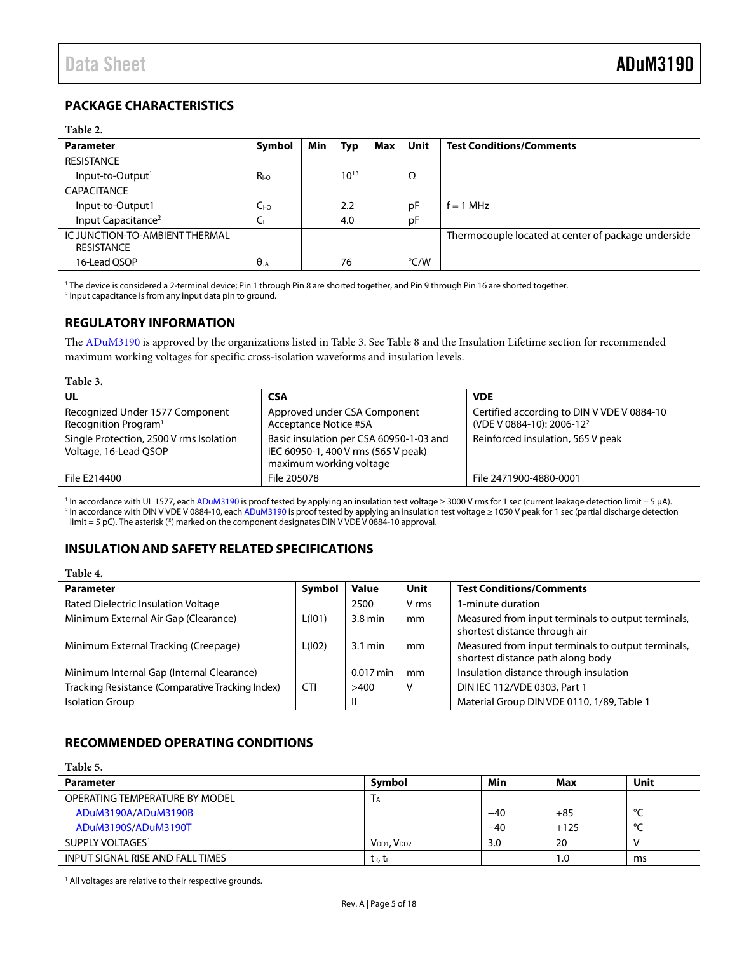## <span id="page-4-0"></span>**PACKAGE CHARACTERISTICS**

#### **Table 2.**

| <b>Parameter</b>                                    | Symbol          | Min | Typ       | Max | <b>Unit</b> | <b>Test Conditions/Comments</b>                     |
|-----------------------------------------------------|-----------------|-----|-----------|-----|-------------|-----------------------------------------------------|
| <b>RESISTANCE</b>                                   |                 |     |           |     |             |                                                     |
| Input-to-Output <sup>1</sup>                        | $R_{I-O}$       |     | $10^{13}$ |     | Ω           |                                                     |
| <b>CAPACITANCE</b>                                  |                 |     |           |     |             |                                                     |
| Input-to-Output1                                    | $C_{\text{LO}}$ |     | 2.2       |     | рF          | $f = 1 MHz$                                         |
| Input Capacitance <sup>2</sup>                      | ◡               |     | 4.0       |     | pF          |                                                     |
| IC JUNCTION-TO-AMBIENT THERMAL<br><b>RESISTANCE</b> |                 |     |           |     |             | Thermocouple located at center of package underside |
| 16-Lead QSOP                                        | $\theta_{JA}$   |     | 76        |     | °C/W        |                                                     |

<sup>1</sup> The device is considered a 2-terminal device; Pin 1 through Pin 8 are shorted together, and Pin 9 through Pin 16 are shorted together. <sup>2</sup> Input capacitance is from any input data pin to ground.

## <span id="page-4-1"></span>**REGULATORY INFORMATION**

The [ADuM3190](http://www.analog.com/ADuM3190?doc=ADuM3190.pdf) is approved by the organizations listed i[n Table 3.](#page-4-4) Se[e Table 8](#page-6-2) and th[e Insulation Lifetime](#page-16-0) section for recommended maximum working voltages for specific cross-isolation waveforms and insulation levels.

#### <span id="page-4-4"></span>**Table 3.**

| UL                                                                  | <b>CSA</b>                                                                                                | <b>VDE</b>                                                                          |
|---------------------------------------------------------------------|-----------------------------------------------------------------------------------------------------------|-------------------------------------------------------------------------------------|
| Recognized Under 1577 Component<br>Recognition Program <sup>1</sup> | Approved under CSA Component<br>Acceptance Notice #5A                                                     | Certified according to DIN V VDE V 0884-10<br>(VDE V 0884-10): 2006-12 <sup>2</sup> |
| Single Protection, 2500 V rms Isolation<br>Voltage, 16-Lead QSOP    | Basic insulation per CSA 60950-1-03 and<br>IEC 60950-1, 400 V rms (565 V peak)<br>maximum working voltage | Reinforced insulation, 565 V peak                                                   |
| File E214400                                                        | File 205078                                                                                               | File 2471900-4880-0001                                                              |

<sup>1</sup> In accordance with UL 1577, eac[h ADuM3190](http://www.analog.com/ADuM3190?doc=ADuM3190.pdf) is proof tested by applying an insulation test voltage ≥ 3000 V rms for 1 sec (current leakage detection limit = 5 µA). <sup>2</sup> In accordance with DIN V VDE V 0884-10, eac[h ADuM3190](http://www.analog.com/ADuM3190?doc=ADuM3190.pdf) is proof tested by applying an insulation test voltage ≥ 1050 V peak for 1 sec (partial discharge detection limit = 5 pC). The asterisk (\*) marked on the component designates DIN V VDE V 0884-10 approval.

## <span id="page-4-2"></span>**INSULATION AND SAFETY RELATED SPECIFICATIONS**

#### **Table 4.**

| <b>Parameter</b>                                 | Symbol     | <b>Value</b>      | Unit  | <b>Test Conditions/Comments</b>                                                         |
|--------------------------------------------------|------------|-------------------|-------|-----------------------------------------------------------------------------------------|
| Rated Dielectric Insulation Voltage              |            | 2500              | V rms | 1-minute duration                                                                       |
| Minimum External Air Gap (Clearance)             | L(101)     | 3.8 min           | mm    | Measured from input terminals to output terminals,<br>shortest distance through air     |
| Minimum External Tracking (Creepage)             | L(102)     | $3.1 \text{ min}$ | mm    | Measured from input terminals to output terminals,<br>shortest distance path along body |
| Minimum Internal Gap (Internal Clearance)        |            | $0.017$ min       | mm    | Insulation distance through insulation                                                  |
| Tracking Resistance (Comparative Tracking Index) | <b>CTI</b> | >400              | v     | DIN IEC 112/VDE 0303, Part 1                                                            |
| <b>Isolation Group</b>                           |            | $\mathsf{II}$     |       | Material Group DIN VDE 0110, 1/89, Table 1                                              |

## <span id="page-4-3"></span>**RECOMMENDED OPERATING CONDITIONS**

| Table 5.                         |                       |       |        |        |
|----------------------------------|-----------------------|-------|--------|--------|
| <b>Parameter</b>                 | Symbol                | Min   | Max    | Unit   |
| OPERATING TEMPERATURE BY MODEL   | ЛA,                   |       |        |        |
| ADuM3190A/ADuM3190B              |                       | $-40$ | $+85$  | $\sim$ |
| ADuM3190S/ADuM3190T              |                       | $-40$ | $+125$ | $\sim$ |
| SUPPLY VOLTAGES <sup>1</sup>     | $V_{DD1}$ , $V_{DD2}$ | 3.0   | 20     |        |
| INPUT SIGNAL RISE AND FALL TIMES | $t_R$ , $t_F$         |       | 1.0    | ms     |

<sup>1</sup> All voltages are relative to their respective grounds.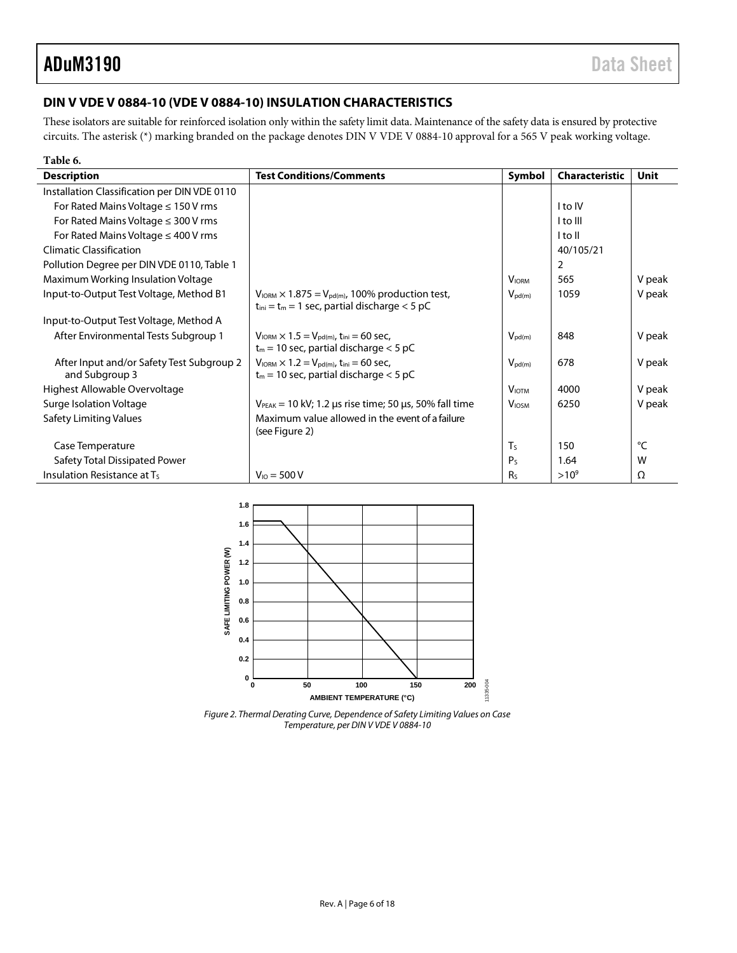## <span id="page-5-0"></span>**DIN V VDE V 0884-10 (VDE V 0884-10) INSULATION CHARACTERISTICS**

These isolators are suitable for reinforced isolation only within the safety limit data. Maintenance of the safety data is ensured by protective circuits. The asterisk (\*) marking branded on the package denotes DIN V VDE V 0884-10 approval for a 565 V peak working voltage.

| Table 6.                                     |                                                                                                                                         |                    |                |             |
|----------------------------------------------|-----------------------------------------------------------------------------------------------------------------------------------------|--------------------|----------------|-------------|
| <b>Description</b>                           | <b>Test Conditions/Comments</b>                                                                                                         | Symbol             | Characteristic | <b>Unit</b> |
| Installation Classification per DIN VDE 0110 |                                                                                                                                         |                    |                |             |
| For Rated Mains Voltage $\leq 150$ V rms     |                                                                                                                                         |                    | I to IV        |             |
| For Rated Mains Voltage $\leq$ 300 V rms     |                                                                                                                                         |                    | I to III       |             |
| For Rated Mains Voltage $\leq$ 400 V rms     |                                                                                                                                         |                    | I to II        |             |
| <b>Climatic Classification</b>               |                                                                                                                                         |                    | 40/105/21      |             |
| Pollution Degree per DIN VDE 0110, Table 1   |                                                                                                                                         |                    | 2              |             |
| Maximum Working Insulation Voltage           |                                                                                                                                         | <b>VIORM</b>       | 565            | V peak      |
| Input-to-Output Test Voltage, Method B1      | $V_{\text{IORM}} \times 1.875 = V_{\text{pd(m)}}$ , 100% production test,<br>$t_{\text{ini}} = t_m = 1$ sec, partial discharge $< 5$ pC | $V_{\text{pd}(m)}$ | 1059           | V peak      |
| Input-to-Output Test Voltage, Method A       |                                                                                                                                         |                    |                |             |
| After Environmental Tests Subgroup 1         | $V_{\text{IORM}} \times 1.5 = V_{\text{pd(m)}}$ , t <sub>ini</sub> = 60 sec,                                                            | $V_{\text{pd}(m)}$ | 848            | V peak      |
|                                              | $t_m$ = 10 sec, partial discharge $<$ 5 pC                                                                                              |                    |                |             |
| After Input and/or Safety Test Subgroup 2    | $V_{\text{IORM}} \times 1.2 = V_{\text{pd}(m)}$ , t <sub>ini</sub> = 60 sec,                                                            | $V_{\text{pd}(m)}$ | 678            | V peak      |
| and Subgroup 3                               | $t_m$ = 10 sec, partial discharge $<$ 5 pC                                                                                              |                    |                |             |
| Highest Allowable Overvoltage                |                                                                                                                                         | <b>VIOTM</b>       | 4000           | V peak      |
| Surge Isolation Voltage                      | $V_{PEAK}$ = 10 kV; 1.2 µs rise time; 50 µs, 50% fall time                                                                              | <b>VIOSM</b>       | 6250           | V peak      |
| <b>Safety Limiting Values</b>                | Maximum value allowed in the event of a failure<br>(see Figure 2)                                                                       |                    |                |             |
| Case Temperature                             |                                                                                                                                         | T <sub>S</sub>     | 150            | °C          |
| Safety Total Dissipated Power                |                                                                                                                                         | P <sub>S</sub>     | 1.64           | W           |
| Insulation Resistance at Ts                  | $V_{10} = 500 V$                                                                                                                        | <b>Rs</b>          | $>10^{9}$      | Ω           |



<span id="page-5-1"></span>*Figure 2. Thermal Derating Curve, Dependence of Safety Limiting Values on Case Temperature, per DIN V VDE V 0884-10*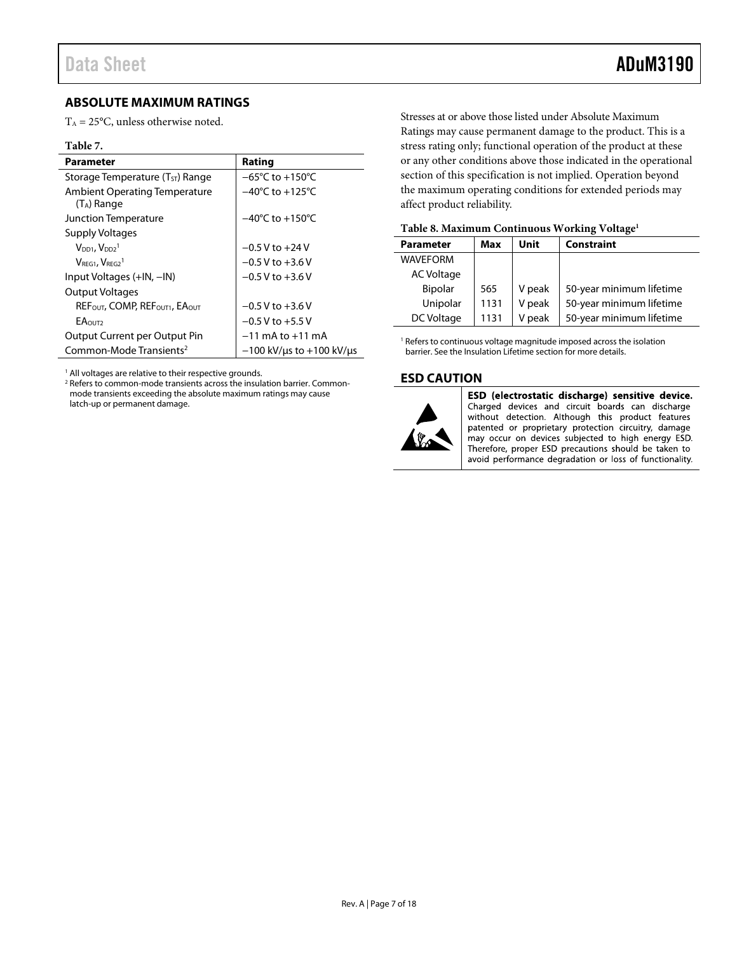## <span id="page-6-0"></span>**ABSOLUTE MAXIMUM RATINGS**

 $T_A = 25$ °C, unless otherwise noted.

#### **Table 7.**

| Parameter                                                          | Rating                              |
|--------------------------------------------------------------------|-------------------------------------|
| Storage Temperature (T <sub>ST</sub> ) Range                       | $-65^{\circ}$ C to $+150^{\circ}$ C |
| <b>Ambient Operating Temperature</b><br>(T <sub>A</sub> ) Range    | $-40^{\circ}$ C to $+125^{\circ}$ C |
| Junction Temperature                                               | $-40^{\circ}$ C to $+150^{\circ}$ C |
| <b>Supply Voltages</b>                                             |                                     |
| $VDD1$ , $VDD21$                                                   | $-0.5$ V to $+24$ V                 |
| $VREG1$ , $VREG21$                                                 | $-0.5$ V to $+3.6$ V                |
| Input Voltages (+IN, -IN)                                          | $-0.5$ V to $+3.6$ V                |
| Output Voltages                                                    |                                     |
| REF <sub>OUT</sub> , COMP, REF <sub>OUT1</sub> , EA <sub>OUT</sub> | $-0.5$ V to $+3.6$ V                |
| <b>EAOUT2</b>                                                      | $-0.5$ V to $+5.5$ V                |
| Output Current per Output Pin                                      | $-11$ mA to $+11$ mA                |
| Common-Mode Transients <sup>2</sup>                                | $-100$ kV/us to $+100$ kV/us        |

<sup>1</sup> All voltages are relative to their respective grounds.

<sup>2</sup> Refers to common-mode transients across the insulation barrier. Commonmode transients exceeding the absolute maximum ratings may cause latch-up or permanent damage.

Stresses at or above those listed under Absolute Maximum Ratings may cause permanent damage to the product. This is a stress rating only; functional operation of the product at these or any other conditions above those indicated in the operational section of this specification is not implied. Operation beyond the maximum operating conditions for extended periods may affect product reliability.

| Table 8. Maximum Continuous working voltage |      |        |                          |  |  |  |
|---------------------------------------------|------|--------|--------------------------|--|--|--|
| <b>Parameter</b>                            | Max  | Unit   | <b>Constraint</b>        |  |  |  |
| <b>WAVEFORM</b>                             |      |        |                          |  |  |  |
| AC Voltage                                  |      |        |                          |  |  |  |
| <b>Bipolar</b>                              | 565  | V peak | 50-year minimum lifetime |  |  |  |
| Unipolar                                    | 1131 | V peak | 50-year minimum lifetime |  |  |  |
| DC Voltage                                  | 1131 | V peak | 50-year minimum lifetime |  |  |  |

#### <span id="page-6-2"></span>**Table 8. Maximum Continuous Working Voltage1**

<sup>1</sup> Refers to continuous voltage magnitude imposed across the isolation barrier. See th[e Insulation Lifetime](#page-16-0) section for more details.

#### <span id="page-6-1"></span>**ESD CAUTION**



ESD (electrostatic discharge) sensitive device. Charged devices and circuit boards can discharge without detection. Although this product features patented or proprietary protection circuitry, damage may occur on devices subjected to high energy ESD. Therefore, proper ESD precautions should be taken to avoid performance degradation or loss of functionality.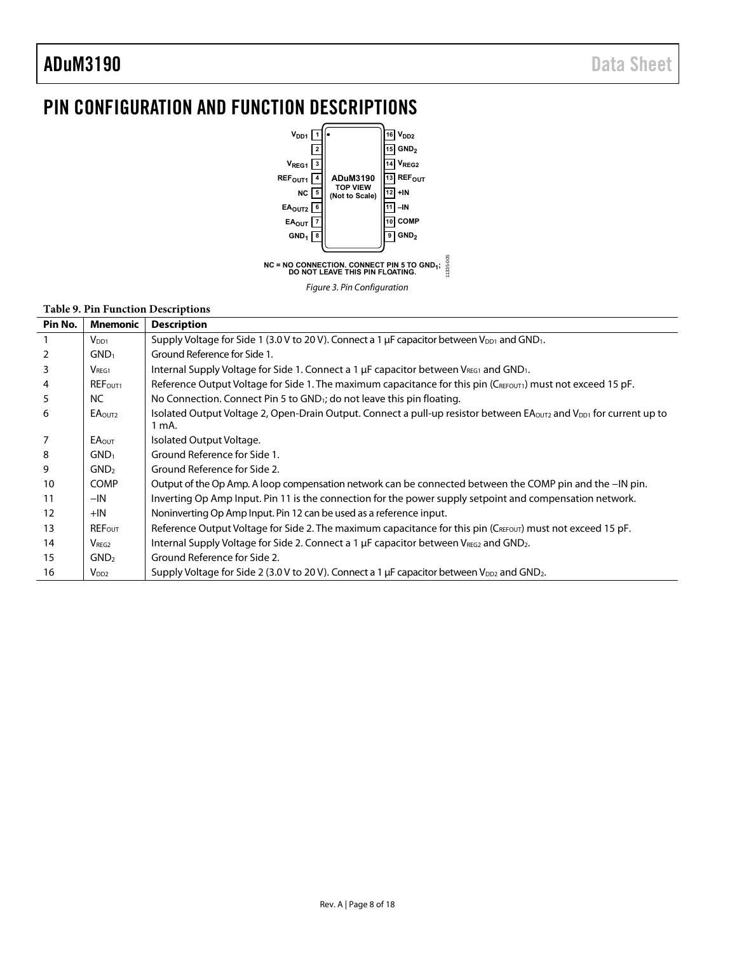# <span id="page-7-0"></span>PIN CONFIGURATION AND FUNCTION DESCRIPTIONS



#### **Table 9. Pin Function Descriptions**

|         | 1 apre 7, 1 m 1 anvelon D cocriptions |                                                                                                                                                     |  |  |  |  |  |
|---------|---------------------------------------|-----------------------------------------------------------------------------------------------------------------------------------------------------|--|--|--|--|--|
| Pin No. | Mnemonic                              | <b>Description</b>                                                                                                                                  |  |  |  |  |  |
|         | $V_{DD1}$                             | Supply Voltage for Side 1 (3.0 V to 20 V). Connect a 1 $\mu$ F capacitor between V <sub>DD1</sub> and GND <sub>1</sub> .                            |  |  |  |  |  |
| 2       | GND <sub>1</sub>                      | Ground Reference for Side 1.                                                                                                                        |  |  |  |  |  |
| 3       | V <sub>REG1</sub>                     | Internal Supply Voltage for Side 1. Connect a 1 $\mu$ F capacitor between V <sub>REG1</sub> and GND <sub>1</sub> .                                  |  |  |  |  |  |
| 4       | REF <sub>OUT1</sub>                   | Reference Output Voltage for Side 1. The maximum capacitance for this pin (CREFOUTI) must not exceed 15 pF.                                         |  |  |  |  |  |
| 5       | NC                                    | No Connection. Connect Pin 5 to GND <sub>1</sub> ; do not leave this pin floating.                                                                  |  |  |  |  |  |
| 6       | EA <sub>OUT2</sub>                    | Isolated Output Voltage 2, Open-Drain Output. Connect a pull-up resistor between EA <sub>OUT2</sub> and V <sub>DD1</sub> for current up to<br>1 mA. |  |  |  |  |  |
|         | <b>EA</b> <sub>OUT</sub>              | Isolated Output Voltage.                                                                                                                            |  |  |  |  |  |
| 8       | GND <sub>1</sub>                      | Ground Reference for Side 1.                                                                                                                        |  |  |  |  |  |
| 9       | GND <sub>2</sub>                      | Ground Reference for Side 2.                                                                                                                        |  |  |  |  |  |
| 10      | <b>COMP</b>                           | Output of the Op Amp. A loop compensation network can be connected between the COMP pin and the -IN pin.                                            |  |  |  |  |  |
| 11      | $-IN$                                 | Inverting Op Amp Input. Pin 11 is the connection for the power supply setpoint and compensation network.                                            |  |  |  |  |  |
| 12      | $+IN$                                 | Noninverting Op Amp Input. Pin 12 can be used as a reference input.                                                                                 |  |  |  |  |  |
| 13      | <b>REFout</b>                         | Reference Output Voltage for Side 2. The maximum capacitance for this pin (CREFOUT) must not exceed 15 pF.                                          |  |  |  |  |  |
| 14      | V <sub>REG2</sub>                     | Internal Supply Voltage for Side 2. Connect a 1 $\mu$ F capacitor between V <sub>REG2</sub> and GND <sub>2</sub> .                                  |  |  |  |  |  |
| 15      | GND <sub>2</sub>                      | Ground Reference for Side 2.                                                                                                                        |  |  |  |  |  |
| 16      | $V_{DD2}$                             | Supply Voltage for Side 2 (3.0 V to 20 V). Connect a 1 µF capacitor between V <sub>DD2</sub> and GND <sub>2</sub> .                                 |  |  |  |  |  |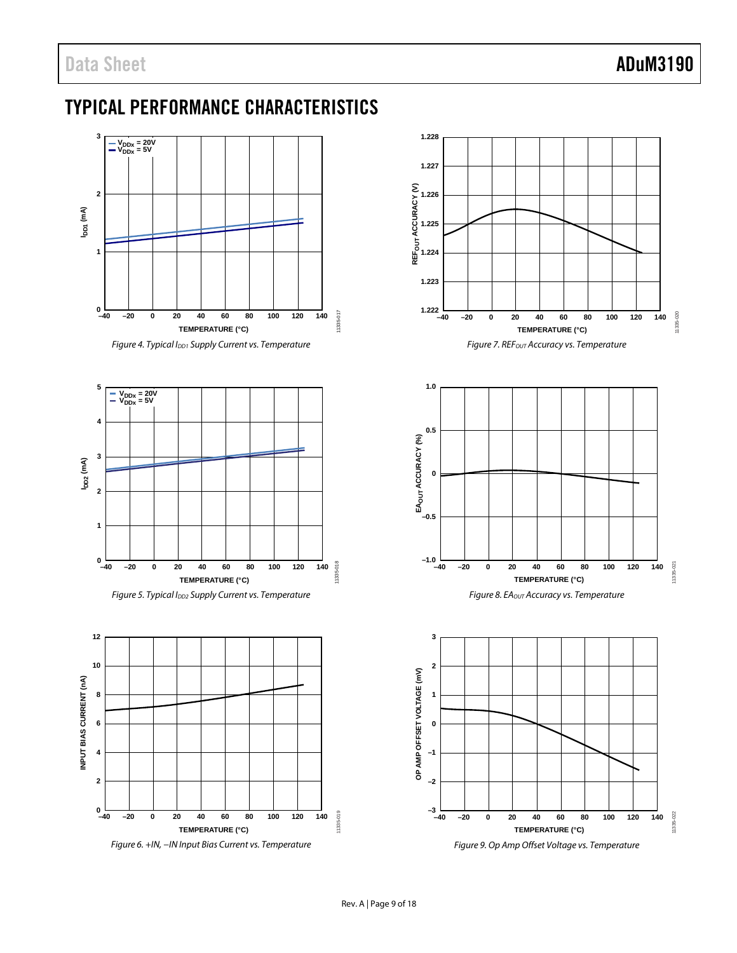# <span id="page-8-0"></span>TYPICAL PERFORMANCE CHARACTERISTICS



*Figure 4. Typical IDD1 Supply Current vs. Temperature*

<span id="page-8-1"></span>



<span id="page-8-2"></span>





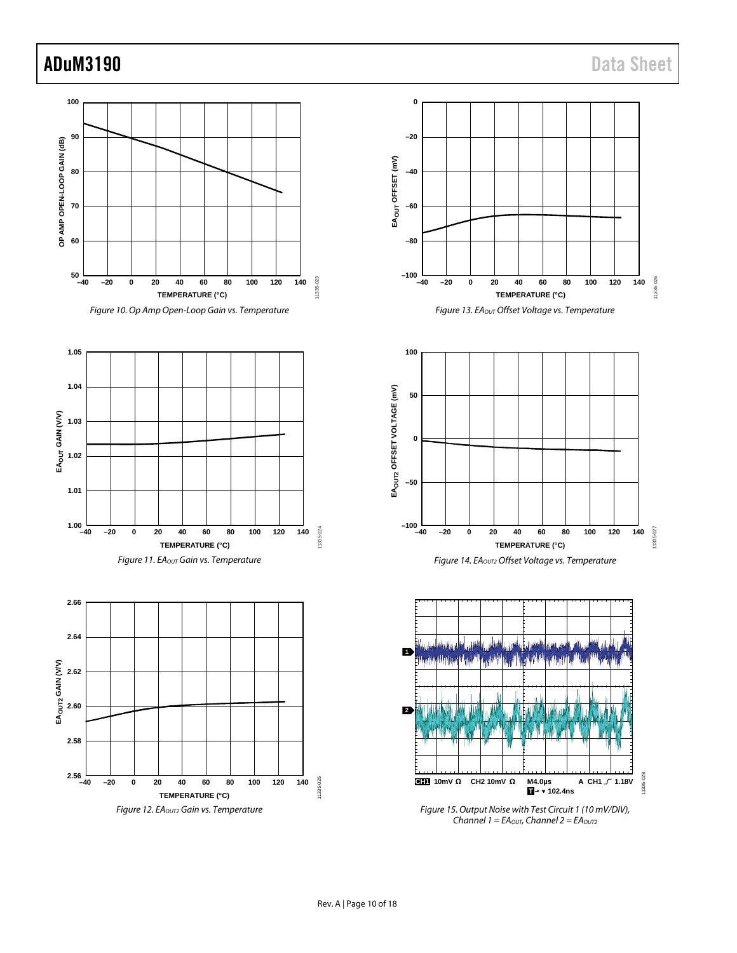<span id="page-9-0"></span>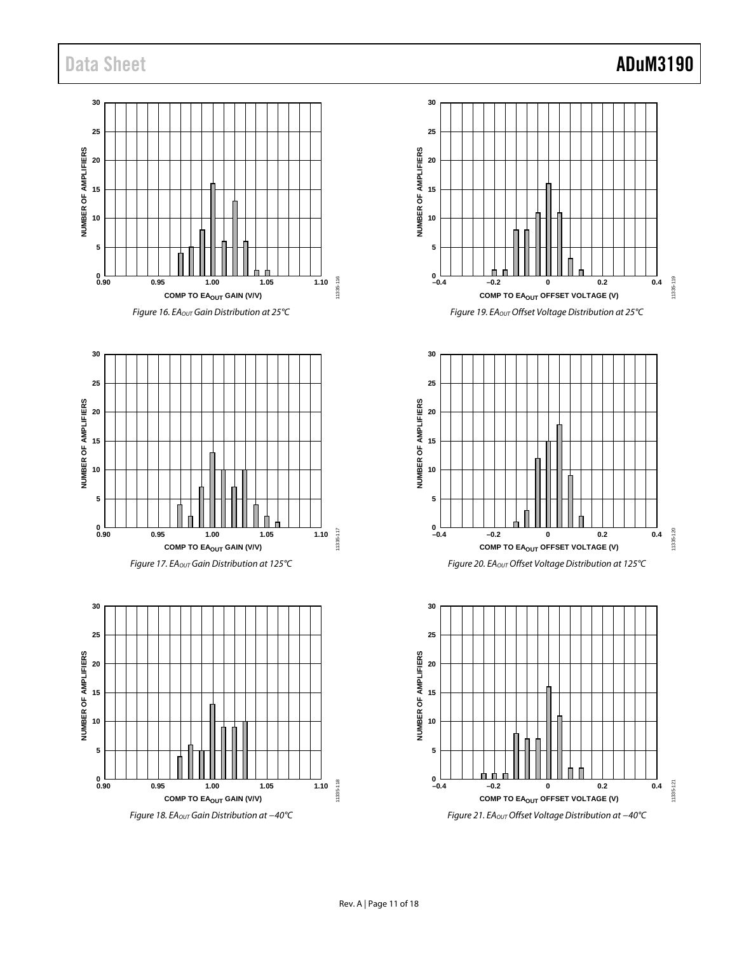## **30 25** NUMBER OF AMPLIFIERS **NUMBER OF AMPLIFIERS 20 15 10 5 0.90 <sup>0</sup> 0.95 1.00 1.05 1.10** 11335-116 11335-116 **COMP TO EAOUT GAIN (V/V)**









*Figure 18. EAOUT Gain Distribution at −40°C*









*Figure 21. EAOUT Offset Voltage Distribution at −40°C*

# Data Sheet **ADuM3190**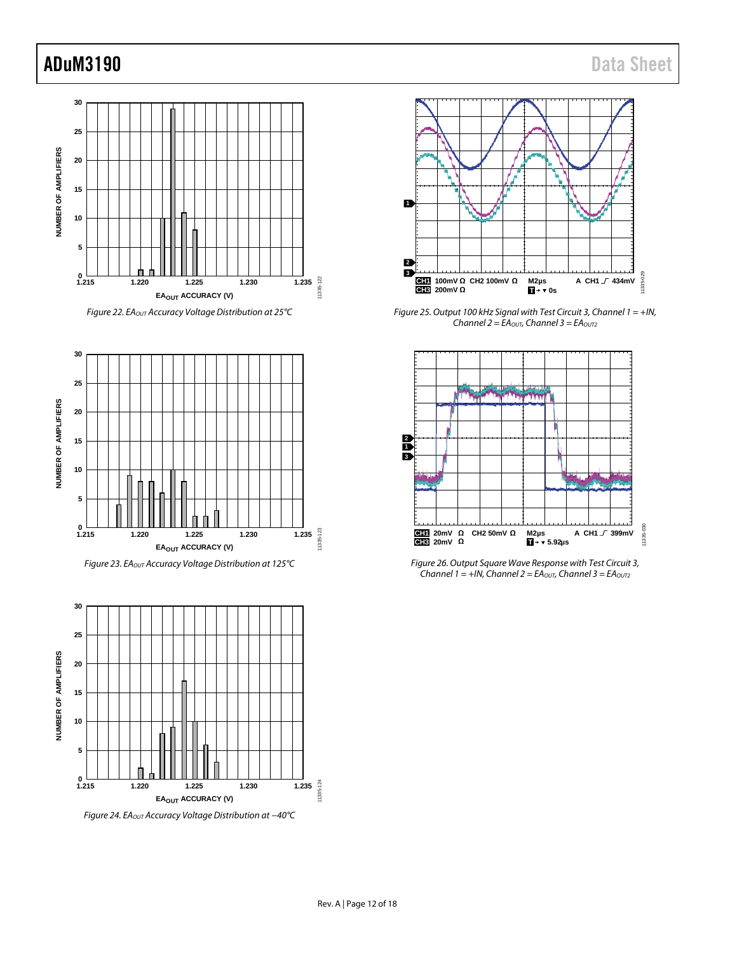



*Figure 23. EAOUT Accuracy Voltage Distribution at 125°C*



*Figure 24. EAOUT Accuracy Voltage Distribution at −40°C*



*Figure 25. Output 100 kHz Signal with Test Circuit 3, Channel 1 = +IN, Channel 2 = EAOUT, Channel 3 = EAOUT2*



*Figure 26. Output Square Wave Response with Test Circuit 3,*   $\text{Channel 1}$  = +IN, Channel 2 = EA<sub>OUT</sub>, Channel 3 = EA<sub>OUT2</sub>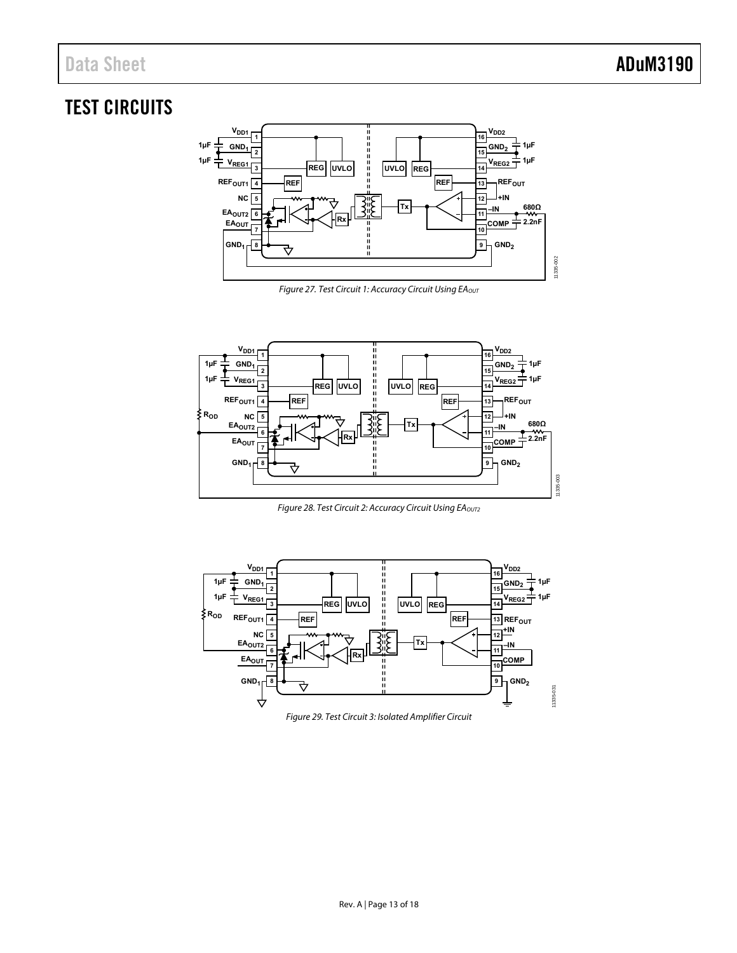## <span id="page-12-0"></span>TEST CIRCUITS



Figure 27. Test Circuit 1: Accuracy Circuit Using EAOUT

<span id="page-12-1"></span>

Figure 28. Test Circuit 2: Accuracy Circuit Using EAOUT2

<span id="page-12-3"></span><span id="page-12-2"></span>

Figure 29. Test Circuit 3: Isolated Amplifier Circuit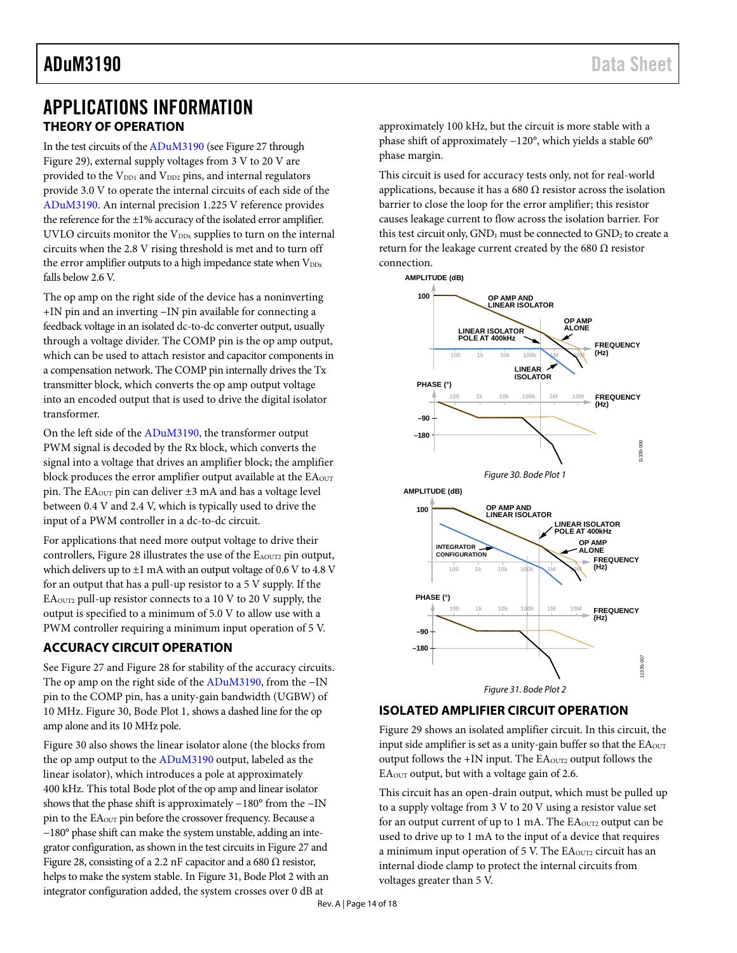## <span id="page-13-1"></span><span id="page-13-0"></span>APPLICATIONS INFORMATION **THEORY OF OPERATION**

In the test circuits of th[e ADuM3190](http://www.analog.com/ADuM3190?doc=ADuM3190.pdf) (see [Figure 27](#page-12-1) through [Figure 29\)](#page-12-2), external supply voltages from 3 V to 20 V are provided to the  $V_{DD1}$  and  $V_{DD2}$  pins, and internal regulators provide 3.0 V to operate the internal circuits of each side of the [ADuM3190.](http://www.analog.com/ADuM3190?doc=ADuM3190.pdf) An internal precision 1.225 V reference provides the reference for the  $\pm 1\%$  accuracy of the isolated error amplifier. UVLO circuits monitor the  $V_{\text{DDx}}$  supplies to turn on the internal circuits when the 2.8 V rising threshold is met and to turn off the error amplifier outputs to a high impedance state when  $V_{DDx}$ falls below 2.6 V.

The op amp on the right side of the device has a noninverting +IN pin and an inverting −IN pin available for connecting a feedback voltage in an isolated dc-to-dc converter output, usually through a voltage divider. The COMP pin is the op amp output, which can be used to attach resistor and capacitor components in a compensation network. The COMP pin internally drives the Tx transmitter block, which converts the op amp output voltage into an encoded output that is used to drive the digital isolator transformer.

On the left side of the [ADuM3190,](http://www.analog.com/ADuM3190?doc=ADuM3190.pdf) the transformer output PWM signal is decoded by the Rx block, which converts the signal into a voltage that drives an amplifier block; the amplifier block produces the error amplifier output available at the  $EA<sub>OUT</sub>$ pin. The EAOUT pin can deliver ±3 mA and has a voltage level between 0.4 V and 2.4 V, which is typically used to drive the input of a PWM controller in a dc-to-dc circuit.

For applications that need more output voltage to drive their controllers, [Figure 28](#page-12-3) illustrates the use of the EAOUT2 pin output, which delivers up to  $\pm 1$  mA with an output voltage of 0.6 V to 4.8 V for an output that has a pull-up resistor to a 5 V supply. If the  $EA<sub>OUT2</sub>$  pull-up resistor connects to a 10 V to 20 V supply, the output is specified to a minimum of 5.0 V to allow use with a PWM controller requiring a minimum input operation of 5 V.

## <span id="page-13-2"></span>**ACCURACY CIRCUIT OPERATION**

See [Figure 27](#page-12-1) an[d Figure 28](#page-12-3) for stability of the accuracy circuits. The op amp on the right side of th[e ADuM3190,](http://www.analog.com/ADuM3190?doc=ADuM3190.pdf) from the −IN pin to the COMP pin, has a unity-gain bandwidth (UGBW) of 10 MHz[. Figure 30,](#page-13-4) Bode Plot 1, shows a dashed line for the op amp alone and its 10 MHz pole.

[Figure 30](#page-13-4) also shows the linear isolator alone (the blocks from the op amp output to the [ADuM3190](http://www.analog.com/ADuM3190?doc=ADuM3190.pdf) output, labeled as the linear isolator), which introduces a pole at approximately 400 kHz. This total Bode plot of the op amp and linear isolator shows that the phase shift is approximately −180° from the −IN pin to the EA<sub>OUT</sub> pin before the crossover frequency. Because a −180° phase shift can make the system unstable, adding an integrator configuration, asshown in the test circuits i[n Figure 27](#page-12-1) and [Figure 28,](#page-12-3) consisting of a 2.2 nF capacitor and a 680  $\Omega$  resistor, helps to make the system stable. I[n Figure 31,](#page-13-5) Bode Plot 2 with an integrator configuration added, the system crosses over 0 dB at

approximately 100 kHz, but the circuit is more stable with a phase shift of approximately −120°, which yields a stable 60° phase margin.

This circuit is used for accuracy tests only, not for real-world applications, because it has a 680  $\Omega$  resistor across the isolation barrier to close the loop for the error amplifier; this resistor causes leakage current to flow across the isolation barrier. For this test circuit only,  $GND_1$  must be connected to  $GND_2$  to create a return for the leakage current created by the 680  $\Omega$  resistor connection.

<span id="page-13-4"></span>

## <span id="page-13-5"></span><span id="page-13-3"></span>**ISOLATED AMPLIFIER CIRCUIT OPERATION**

[Figure 29](#page-12-2) shows an isolated amplifier circuit. In this circuit, the input side amplifier is set as a unity-gain buffer so that the EAOUT output follows the  $+IN$  input. The  $EA<sub>OUT2</sub>$  output follows the EAOUT output, but with a voltage gain of 2.6.

This circuit has an open-drain output, which must be pulled up to a supply voltage from 3 V to 20 V using a resistor value set for an output current of up to 1 mA. The EA<sub>OUT2</sub> output can be used to drive up to 1 mA to the input of a device that requires a minimum input operation of 5 V. The  $EA<sub>OUT2</sub>$  circuit has an internal diode clamp to protect the internal circuits from voltages greater than 5 V.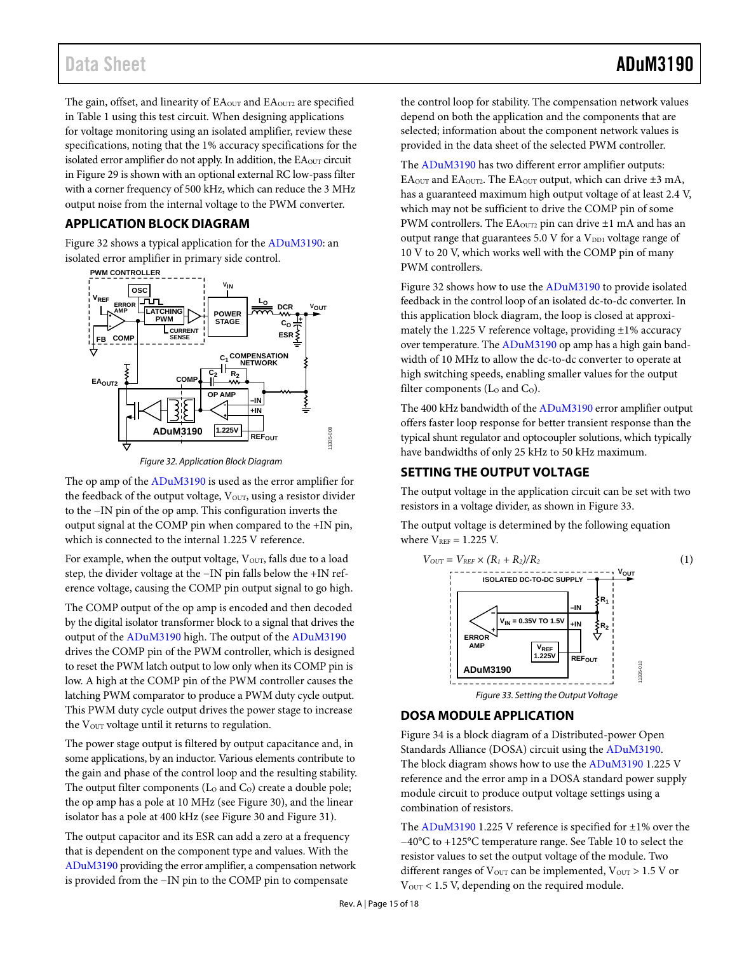The gain, offset, and linearity of EA<sub>OUT</sub> and EA<sub>OUT2</sub> are specified in [Table 1](#page-2-1) using this test circuit. When designing applications for voltage monitoring using an isolated amplifier, review these specifications, noting that the 1% accuracy specifications for the isolated error amplifier do not apply. In addition, the EA<sub>OUT</sub> circuit i[n Figure 29](#page-12-2) is shown with an optional external RC low-pass filter with a corner frequency of 500 kHz, which can reduce the 3 MHz output noise from the internal voltage to the PWM converter.

## <span id="page-14-0"></span>**APPLICATION BLOCK DIAGRAM**

[Figure 32](#page-14-3) shows a typical application for th[e ADuM3190:](http://www.analog.com/ADuM3190?doc=ADuM3190.pdf) an isolated error amplifier in primary side control.



*Figure 32. Application Block Diagram*

<span id="page-14-3"></span>The op amp of th[e ADuM3190](http://www.analog.com/ADuM3190?doc=ADuM3190.pdf) is used as the error amplifier for the feedback of the output voltage, Vour, using a resistor divider to the −IN pin of the op amp. This configuration inverts the output signal at the COMP pin when compared to the +IN pin, which is connected to the internal 1.225 V reference.

For example, when the output voltage,  $V<sub>OUT</sub>$ , falls due to a load step, the divider voltage at the −IN pin falls below the +IN reference voltage, causing the COMP pin output signal to go high.

The COMP output of the op amp is encoded and then decoded by the digital isolator transformer block to a signal that drives the output of the [ADuM3190](http://www.analog.com/ADuM3190?doc=ADuM3190.pdf) high. The output of th[e ADuM3190](http://www.analog.com/ADuM3190?doc=ADuM3190.pdf) drives the COMP pin of the PWM controller, which is designed to reset the PWM latch output to low only when its COMP pin is low. A high at the COMP pin of the PWM controller causes the latching PWM comparator to produce a PWM duty cycle output. This PWM duty cycle output drives the power stage to increase the V<sub>OUT</sub> voltage until it returns to regulation.

The power stage output is filtered by output capacitance and, in some applications, by an inductor. Various elements contribute to the gain and phase of the control loop and the resulting stability. The output filter components ( $Lo$  and  $Co$ ) create a double pole; the op amp has a pole at 10 MHz (se[e Figure 30\)](#page-13-4), and the linear isolator has a pole at 400 kHz (se[e Figure 30](#page-13-4) an[d Figure 31\)](#page-13-5).

The output capacitor and its ESR can add a zero at a frequency that is dependent on the component type and values. With the [ADuM3190](http://www.analog.com/ADuM3190?doc=ADuM3190.pdf) providing the error amplifier, a compensation network is provided from the −IN pin to the COMP pin to compensate

the control loop for stability. The compensation network values depend on both the application and the components that are selected; information about the component network values is provided in the data sheet of the selected PWM controller.

The [ADuM3190](http://www.analog.com/ADuM3190?doc=ADuM3190.pdf) has two different error amplifier outputs: EA<sub>OUT</sub> and EA<sub>OUT2</sub>. The EA<sub>OUT</sub> output, which can drive  $\pm 3$  mA, has a guaranteed maximum high output voltage of at least 2.4 V, which may not be sufficient to drive the COMP pin of some PWM controllers. The  $EA<sub>OUT2</sub>$  pin can drive  $\pm 1$  mA and has an output range that guarantees  $5.0 \text{ V}$  for a  $V_{\text{DD1}}$  voltage range of 10 V to 20 V, which works well with the COMP pin of many PWM controllers.

[Figure 32](#page-14-3) shows how to use th[e ADuM3190](http://www.analog.com/ADuM3190?doc=ADuM3190.pdf) to provide isolated feedback in the control loop of an isolated dc-to-dc converter. In this application block diagram, the loop is closed at approximately the 1.225 V reference voltage, providing  $\pm 1$ % accuracy over temperature. Th[e ADuM3190](http://www.analog.com/ADuM3190?doc=ADuM3190.pdf) op amp has a high gain bandwidth of 10 MHz to allow the dc-to-dc converter to operate at high switching speeds, enabling smaller values for the output filter components (Lo and Co).

The 400 kHz bandwidth of th[e ADuM3190](http://www.analog.com/ADuM3190?doc=ADuM3190.pdf) error amplifier output offers faster loop response for better transient response than the typical shunt regulator and optocoupler solutions, which typically have bandwidths of only 25 kHz to 50 kHz maximum.

## <span id="page-14-1"></span>**SETTING THE OUTPUT VOLTAGE**

The output voltage in the application circuit can be set with two resistors in a voltage divider, as shown in [Figure 33.](#page-14-4)

The output voltage is determined by the following equation where  $V_{REF} = 1.225$  V.



## <span id="page-14-4"></span><span id="page-14-2"></span>**DOSA MODULE APPLICATION**

[Figure 34](#page-15-1) is a block diagram of a Distributed-power Open Standards Alliance (DOSA) circuit using the [ADuM3190.](http://www.analog.com/ADuM3190?doc=ADuM3190.pdf) The block diagram shows how to use th[e ADuM3190](http://www.analog.com/ADuM3190?doc=ADuM3190.pdf) 1.225 V reference and the error amp in a DOSA standard power supply module circuit to produce output voltage settings using a combination of resistors.

The [ADuM3190](http://www.analog.com/ADuM3190?doc=ADuM3190.pdf) 1.225 V reference is specified for ±1% over the −40°C to +125°C temperature range. See [Table 10](#page-15-2) to select the resistor values to set the output voltage of the module. Two different ranges of  $V_{\text{OUT}}$  can be implemented,  $V_{\text{OUT}}$  > 1.5 V or  $V<sub>OUT</sub> < 1.5 V$ , depending on the required module.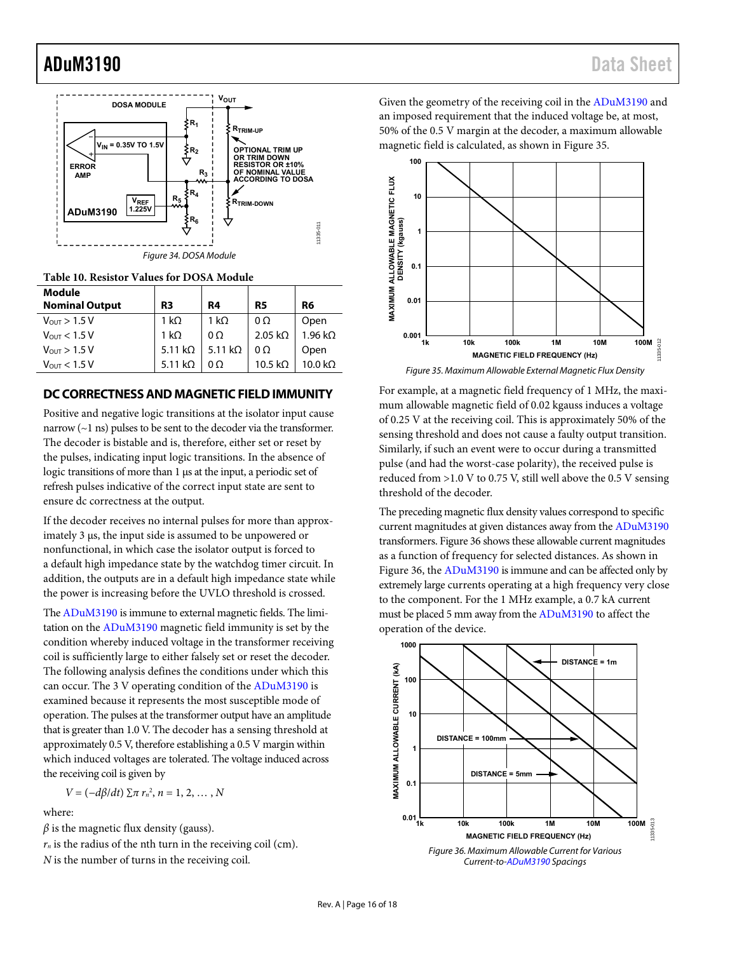

<span id="page-15-2"></span><span id="page-15-1"></span>

| Table 10. Resistor Values for DOSA Module |  |  |  |
|-------------------------------------------|--|--|--|
|-------------------------------------------|--|--|--|

| Module<br><b>Nominal Output</b> | R3             | R4             | R5             | R6             |
|---------------------------------|----------------|----------------|----------------|----------------|
| $V_{\text{OUT}} > 1.5 V$        | 1 k $\Omega$   | 1 kO           | $0\Omega$      | Open           |
| $V_{\text{OUT}} < 1.5 V$        | 1 kΩ           | $0\Omega$      | 2.05 $k\Omega$ | $1.96 k\Omega$ |
| $V_{\text{OUT}} > 1.5 V$        | 5.11 $k\Omega$ | 5.11 $k\Omega$ | $0\Omega$      | Open           |
| $V_{\text{OUT}} < 1.5 V$        | 5.11 kO        | იი             | 10.5 kO        | 10.0 kO        |

### <span id="page-15-0"></span>**DC CORRECTNESS AND MAGNETIC FIELD IMMUNITY**

Positive and negative logic transitions at the isolator input cause narrow (~1 ns) pulses to be sent to the decoder via the transformer. The decoder is bistable and is, therefore, either set or reset by the pulses, indicating input logic transitions. In the absence of logic transitions of more than 1 μs at the input, a periodic set of refresh pulses indicative of the correct input state are sent to ensure dc correctness at the output.

If the decoder receives no internal pulses for more than approximately 3 μs, the input side is assumed to be unpowered or nonfunctional, in which case the isolator output is forced to a default high impedance state by the watchdog timer circuit. In addition, the outputs are in a default high impedance state while the power is increasing before the UVLO threshold is crossed.

Th[e ADuM3190 i](http://www.analog.com/ADuM3190?doc=ADuM3190.pdf)s immune to external magnetic fields. The limitation on th[e ADuM3190](http://www.analog.com/ADuM3190?doc=ADuM3190.pdf) magnetic field immunity is set by the condition whereby induced voltage in the transformer receiving coil is sufficiently large to either falsely set or reset the decoder. The following analysis defines the conditions under which this can occur. The 3 V operating condition of the [ADuM3190](http://www.analog.com/ADuM3190?doc=ADuM3190.pdf) is examined because it represents the most susceptible mode of operation. The pulses at the transformer output have an amplitude that is greater than 1.0 V. The decoder has a sensing threshold at approximately 0.5 V, therefore establishing a 0.5 V margin within which induced voltages are tolerated. The voltage induced across the receiving coil is given by

$$
V = (-d\beta/dt) \sum \pi r_n^2, n = 1, 2, ..., N
$$

where:

 $\beta$  is the magnetic flux density (gauss).

 $r_n$  is the radius of the nth turn in the receiving coil (cm).

*N* is the number of turns in the receiving coil.

Given the geometry of the receiving coil in the [ADuM3190](http://www.analog.com/ADuM3190?doc=ADuM3190.pdf) and an imposed requirement that the induced voltage be, at most, 50% of the 0.5 V margin at the decoder, a maximum allowable magnetic field is calculated, as shown i[n Figure 35.](#page-15-3) 



<span id="page-15-3"></span>For example, at a magnetic field frequency of 1 MHz, the maximum allowable magnetic field of 0.02 kgauss induces a voltage of 0.25 V at the receiving coil. This is approximately 50% of the sensing threshold and does not cause a faulty output transition. Similarly, if such an event were to occur during a transmitted pulse (and had the worst-case polarity), the received pulse is reduced from >1.0 V to 0.75 V, still well above the 0.5 V sensing threshold of the decoder.

The preceding magnetic flux density values correspond to specific current magnitudes at given distances away from th[e ADuM3190](http://www.analog.com/ADuM3190?doc=ADuM3190.pdf) transformers[. Figure 36 s](#page-15-4)hows these allowable current magnitudes as a function of frequency for selected distances. As shown in [Figure 36,](#page-15-4) th[e ADuM3190 i](http://www.analog.com/ADuM3190?doc=ADuM3190.pdf)s immune and can be affected only by extremely large currents operating at a high frequency very close to the component. For the 1 MHz example, a 0.7 kA current must be placed 5 mm away from the [ADuM3190](http://www.analog.com/ADuM3190?doc=ADuM3190.pdf) to affect the operation of the device.

<span id="page-15-4"></span>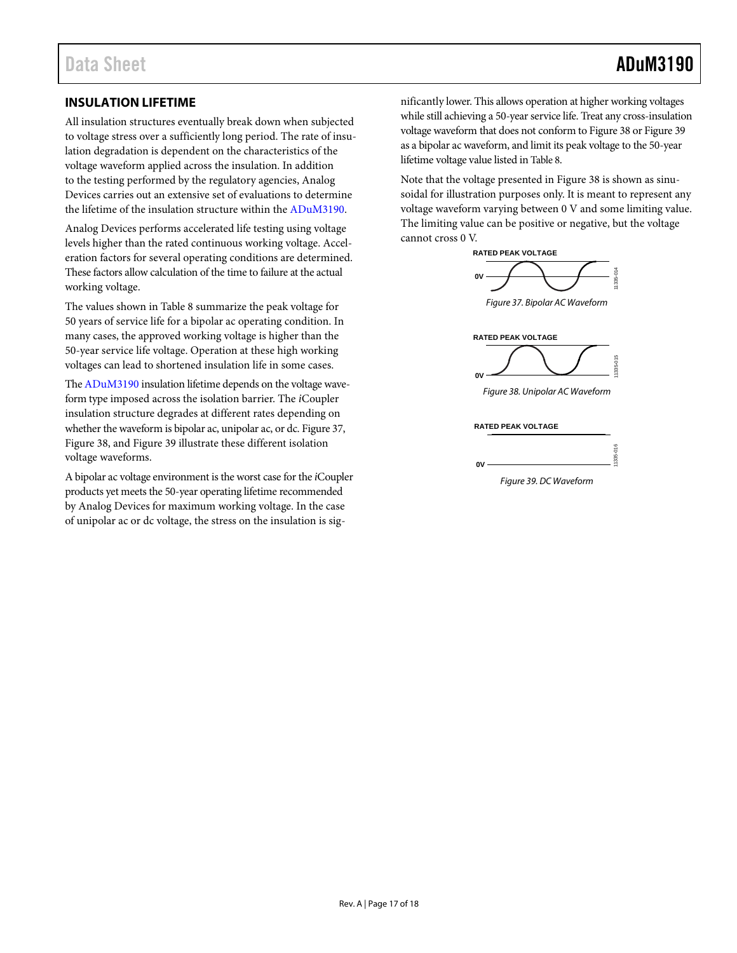## <span id="page-16-0"></span>**INSULATION LIFETIME**

All insulation structures eventually break down when subjected to voltage stress over a sufficiently long period. The rate of insulation degradation is dependent on the characteristics of the voltage waveform applied across the insulation. In addition to the testing performed by the regulatory agencies, Analog Devices carries out an extensive set of evaluations to determine the lifetime of the insulation structure within the [ADuM3190.](http://www.analog.com/ADuM3190?doc=ADuM3190.pdf)

Analog Devices performs accelerated life testing using voltage levels higher than the rated continuous working voltage. Acceleration factors for several operating conditions are determined. These factors allow calculation of the time to failure at the actual working voltage.

The values shown i[n Table 8](#page-6-2) summarize the peak voltage for 50 years of service life for a bipolar ac operating condition. In many cases, the approved working voltage is higher than the 50-year service life voltage. Operation at these high working voltages can lead to shortened insulation life in some cases.

Th[e ADuM3190](http://www.analog.com/ADuM3190?doc=ADuM3190.pdf) insulation lifetime depends on the voltage waveform type imposed across the isolation barrier. The *i*Coupler insulation structure degrades at different rates depending on whether the waveform is bipolar ac, unipolar ac, or dc[. Figure 37,](#page-16-1) [Figure 38,](#page-16-2) an[d Figure 39](#page-16-3) illustrate these different isolation voltage waveforms.

A bipolar ac voltage environment is the worst case for the *i*Coupler products yet meets the 50-year operating lifetime recommended by Analog Devices for maximum working voltage. In the case of unipolar ac or dc voltage, the stress on the insulation is significantly lower. This allows operation at higher working voltages while still achieving a 50-year service life. Treat any cross-insulation voltage waveform that does not conform t[o Figure 38](#page-16-2) o[r Figure 39](#page-16-3) as a bipolar ac waveform, and limit its peak voltage to the 50-year lifetime voltage value listed i[n Table 8.](#page-6-2)

Note that the voltage presented i[n Figure 38](#page-16-2) is shown as sinusoidal for illustration purposes only. It is meant to represent any voltage waveform varying between 0 V and some limiting value. The limiting value can be positive or negative, but the voltage cannot cross 0 V.

<span id="page-16-1"></span>

<span id="page-16-3"></span><span id="page-16-2"></span>*Figure 39. DC Waveform*